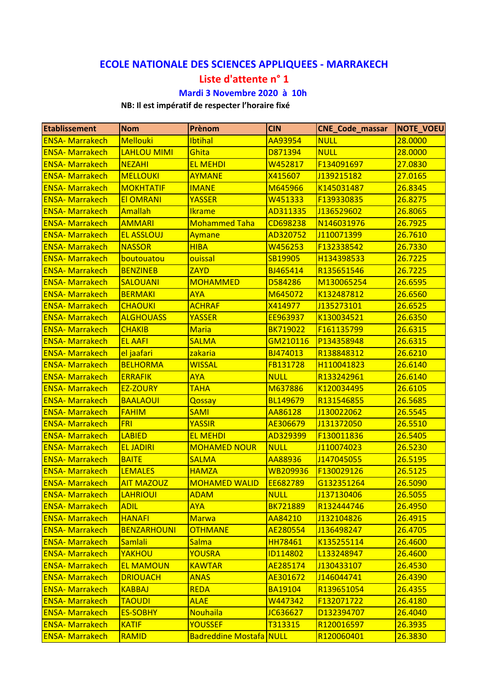## **ECOLE NATIONALE DES SCIENCES APPLIQUEES ‐ MARRAKECH**

## **Liste d'attente n° 1**

## **Mardi 3 Novembre 2020 à 10h**

## **NB: Il est impératif de respecter l'horaire fixé**

| Etablissement          | <b>Nom</b>         | Prènom                         | <b>CIN</b>      | <b>CNE_Code_massar</b> | NOTE_VOEU |
|------------------------|--------------------|--------------------------------|-----------------|------------------------|-----------|
| <b>ENSA-Marrakech</b>  | <b>Mellouki</b>    | <b>Ibtihal</b>                 | AA93954         | <b>NULL</b>            | 28.0000   |
| <b>ENSA-Marrakech</b>  | <b>LAHLOU MIMI</b> | Ghita                          | D871394         | <b>NULL</b>            | 28.0000   |
| <b>ENSA-Marrakech</b>  | <b>NEZAHI</b>      | <b>EL MEHDI</b>                | W452817         | F134091697             | 27.0830   |
| <b>ENSA-Marrakech</b>  | <b>MELLOUKI</b>    | <b>AYMANE</b>                  | X415607         | J139215182             | 27.0165   |
| <b>ENSA-Marrakech</b>  | <b>MOKHTATIF</b>   | <b>IMANE</b>                   | M645966         | K145031487             | 26.8345   |
| <b>ENSA-Marrakech</b>  | <b>EI OMRANI</b>   | <b>YASSER</b>                  | W451333         | F139330835             | 26.8275   |
| <b>ENSA-Marrakech</b>  | Amallah            | <b>Ikrame</b>                  | AD311335        | J136529602             | 26.8065   |
| <b>ENSA-Marrakech</b>  | <b>AMMARI</b>      | <b>Mohammed Taha</b>           | CD698238        | N146031976             | 26.7925   |
| <b>ENSA-Marrakech</b>  | <b>EL ASSLOUJ</b>  | Aymane                         | AD320752        | J110071399             | 26.7610   |
| <b>ENSA-Marrakech</b>  | <b>NASSOR</b>      | <b>HIBA</b>                    | W456253         | F132338542             | 26.7330   |
| <b>ENSA-Marrakech</b>  | boutouatou         | ouissal                        | SB19905         | H134398533             | 26.7225   |
| <b>ENSA-Marrakech</b>  | <b>BENZINEB</b>    | <b>ZAYD</b>                    | BJ465414        | R135651546             | 26.7225   |
| <b>ENSA-Marrakech</b>  | <b>SALOUANI</b>    | <b>MOHAMMED</b>                | D584286         | M130065254             | 26.6595   |
| <b>ENSA-Marrakech</b>  | <b>BERMAKI</b>     | <b>AYA</b>                     | M645072         | K132487812             | 26.6560   |
| <b>ENSA-Marrakech</b>  | <b>CHAOUKI</b>     | <b>ACHRAF</b>                  | X414977         | J135273101             | 26.6525   |
| <b>ENSA-Marrakech</b>  | <b>ALGHOUASS</b>   | <b>YASSER</b>                  | EE963937        | K130034521             | 26.6350   |
| <b>ENSA-Marrakech</b>  | <b>CHAKIB</b>      | <b>Maria</b>                   | <b>BK719022</b> | F161135799             | 26.6315   |
| <b>ENSA-Marrakech</b>  | <b>EL AAFI</b>     | <b>SALMA</b>                   | GM210116        | P134358948             | 26.6315   |
| <b>ENSA-Marrakech</b>  | el jaafari         | zakaria                        | BJ474013        | R138848312             | 26.6210   |
| <b>ENSA-Marrakech</b>  | <b>BELHORMA</b>    | <b>WISSAL</b>                  | FB131728        | H110041823             | 26.6140   |
| <b>ENSA-Marrakech</b>  | <b>ERRAFIK</b>     | <b>AYA</b>                     | <b>NULL</b>     | R133242961             | 26.6140   |
| <b>ENSA-Marrakech</b>  | <b>EZ-ZOURY</b>    | <b>TAHA</b>                    | M637886         | K120034495             | 26.6105   |
| <b>ENSA-Marrakech</b>  | <b>BAALAOUI</b>    | Qossay                         | <b>BL149679</b> | R131546855             | 26.5685   |
| <b>ENSA-Marrakech</b>  | <b>FAHIM</b>       | <b>SAMI</b>                    | AA86128         | J130022062             | 26.5545   |
| <b>ENSA-Marrakech</b>  | <b>FRI</b>         | <b>YASSIR</b>                  | AE306679        | J131372050             | 26.5510   |
| <b>ENSA-Marrakech</b>  | <b>LABIED</b>      | <b>EL MEHDI</b>                | AD329399        | F130011836             | 26.5405   |
| <b>ENSA-Marrakech</b>  | <b>EL JADIRI</b>   | <b>MOHAMED NOUR</b>            | <b>NULL</b>     | J110074023             | 26.5230   |
| <b>ENSA-Marrakech</b>  | <b>BAITE</b>       | <b>SALMA</b>                   | AA88936         | J147045055             | 26.5195   |
| <b>ENSA-Marrakech</b>  | <b>LEMALES</b>     | <b>HAMZA</b>                   | WB209936        | F130029126             | 26.5125   |
| <b>ENSA-Marrakech</b>  | <b>AIT MAZOUZ</b>  | <b>MOHAMED WALID</b>           | EE682789        | G132351264             | 26.5090   |
| <b>ENSA- Marrakech</b> | <b>LAHRIOUI</b>    | <b>ADAM</b>                    | <b>NULL</b>     | J137130406             | 26.5055   |
| <b>ENSA-Marrakech</b>  | <b>ADIL</b>        | <b>AYA</b>                     | <b>BK721889</b> | R132444746             | 26.4950   |
| <b>ENSA- Marrakech</b> | <b>HANAFI</b>      | <b>Marwa</b>                   | AA84210         | J132104826             | 26.4915   |
| <b>ENSA-Marrakech</b>  | <b>BENZARHOUNI</b> | <b>OTHMANE</b>                 | AE280554        | J136498247             | 26.4705   |
| <b>ENSA-Marrakech</b>  | <b>Samlali</b>     | <b>Salma</b>                   | <b>HH78461</b>  | K135255114             | 26.4600   |
| <b>ENSA-Marrakech</b>  | YAKHOU             | <b>YOUSRA</b>                  | <b>ID114802</b> | L133248947             | 26.4600   |
| <b>ENSA- Marrakech</b> | <b>EL MAMOUN</b>   | <b>KAWTAR</b>                  | AE285174        | J130433107             | 26.4530   |
| <b>ENSA-Marrakech</b>  | <b>DRIOUACH</b>    | <b>ANAS</b>                    | AE301672        | J146044741             | 26.4390   |
| <b>ENSA-Marrakech</b>  | <b>KABBAJ</b>      | <b>REDA</b>                    | <b>BA19104</b>  | R139651054             | 26.4355   |
| <b>ENSA- Marrakech</b> | <b>TAOUDI</b>      | <b>ALAE</b>                    | W447342         | F132071722             | 26.4180   |
| <b>ENSA-Marrakech</b>  | <b>ES-SOBHY</b>    | <b>Nouhaila</b>                | JC636627        | D132394707             | 26.4040   |
| <b>ENSA-Marrakech</b>  | <b>KATIF</b>       | <b>YOUSSEF</b>                 | T313315         | R120016597             | 26.3935   |
| <b>ENSA-Marrakech</b>  | RAMID              | <b>Badreddine Mostafa NULL</b> |                 | R120060401             | 26.3830   |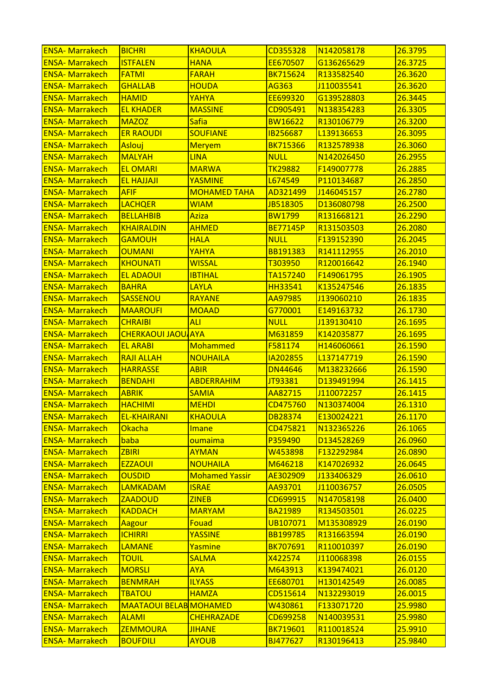| <b>ENSA-Marrakech</b>   | <b>BICHRI</b>                 | <b>KHAOULA</b>        | CD355328        | N142058178 | 26.3795 |
|-------------------------|-------------------------------|-----------------------|-----------------|------------|---------|
| <b>ENSA-Marrakech</b>   | <b>ISTFALEN</b>               | <b>HANA</b>           | EE670507        | G136265629 | 26.3725 |
| <b>ENSA-Marrakech</b>   | <b>FATMI</b>                  | <b>FARAH</b>          | <b>BK715624</b> | R133582540 | 26.3620 |
| <b>ENSA-Marrakech</b>   | <b>GHALLAB</b>                | <b>HOUDA</b>          | AG363           | J110035541 | 26.3620 |
| <b>ENSA-Marrakech</b>   | <b>HAMID</b>                  | YAHYA                 | EE699320        | G139528803 | 26.3445 |
| <b>ENSA-Marrakech</b>   | <b>EL KHADER</b>              | <b>MASSINE</b>        | CD905491        | N138354283 | 26.3305 |
| <b>ENSA-Marrakech</b>   | <b>MAZOZ</b>                  | Safia                 | <b>BW16622</b>  | R130106779 | 26.3200 |
| <b>ENSA-Marrakech</b>   | <b>ER RAOUDI</b>              | <b>SOUFIANE</b>       | <b>IB256687</b> | L139136653 | 26.3095 |
| <b>ENSA-Marrakech</b>   | Aslouj                        | <b>Meryem</b>         | <b>BK715366</b> | R132578938 | 26.3060 |
| <b>ENSA-Marrakech</b>   | <b>MALYAH</b>                 | <b>LINA</b>           | <b>NULL</b>     | N142026450 | 26.2955 |
| <b>ENSA-Marrakech</b>   | <b>EL OMARI</b>               | <b>MARWA</b>          | <b>TK29882</b>  | F149007778 | 26.2885 |
| <b>ENSA-Marrakech</b>   | <b>EL HAJJAJI</b>             | <b>YASMINE</b>        | L674549         | P110134687 | 26.2850 |
| <b>ENSA-Marrakech</b>   | <b>AFIF</b>                   | <b>MOHAMED TAHA</b>   | AD321499        | J146045157 | 26.2780 |
| <b>ENSA-Marrakech</b>   | <b>LACHQER</b>                | <b>WIAM</b>           | JB518305        | D136080798 | 26.2500 |
| <b>ENSA-Marrakech</b>   | <b>BELLAHBIB</b>              | Aziza                 | <b>BW1799</b>   | R131668121 | 26.2290 |
| <b>ENSA-Marrakech</b>   | <b>KHAIRALDIN</b>             | <b>AHMED</b>          | <b>BE77145P</b> | R131503503 | 26.2080 |
| <b>ENSA-Marrakech</b>   | <b>GAMOUH</b>                 | <b>HALA</b>           | <b>NULL</b>     | F139152390 | 26.2045 |
| <b>ENSA-Marrakech</b>   | <b>OUMANI</b>                 | YAHYA                 | BB191383        | R141112955 | 26.2010 |
| <b>ENSA-Marrakech</b>   | <b>KHOUNATI</b>               | <b>WISSAL</b>         | T303950         | R120016642 | 26.1940 |
| <b>ENSA-Marrakech</b>   | <b>EL ADAOUI</b>              | <b>IBTIHAL</b>        | TA157240        | F149061795 | 26.1905 |
| <b>ENSA-Marrakech</b>   | <b>BAHRA</b>                  | <b>LAYLA</b>          | <b>HH33541</b>  | K135247546 | 26.1835 |
| <b>ENSA-Marrakech</b>   | SASSENOU                      | RAYANE                | AA97985         | J139060210 | 26.1835 |
| <b>ENSA-Marrakech</b>   | <b>MAAROUFI</b>               | <b>MOAAD</b>          | G770001         | E149163732 | 26.1730 |
| <b>ENSA-Marrakech</b>   | <b>CHRAIBI</b>                | <b>ALI</b>            | <b>NULL</b>     | J139130410 | 26.1695 |
| <b>ENSA-Marrakech</b>   | <b>CHERKAOUI JAOU/AYA</b>     |                       | M631859         | K142035877 | 26.1695 |
| <b>ENSA-Marrakech</b>   | <b>EL ARABI</b>               | Mohammed              | F581174         | H146060661 | 26.1590 |
| <b>ENSA-Marrakech</b>   | <b>RAJI ALLAH</b>             | NOUHAILA              | IA202855        | L137147719 | 26.1590 |
| <b>ENSA-Marrakech</b>   | <b>HARRASSE</b>               | <b>ABIR</b>           | <b>DN44646</b>  | M138232666 | 26.1590 |
| <b>ENSA-Marrakech</b>   | <b>BENDAHI</b>                | <b>ABDERRAHIM</b>     | JT93381         | D139491994 | 26.1415 |
| <b>ENSA-Marrakech</b>   | <b>ABRIK</b>                  | <b>SAMIA</b>          | AA82715         | J110072257 | 26.1415 |
| <b>ENSA-Marrakech</b>   | <b>HACHIMI</b>                | <b>MEHDI</b>          | CD475760        | N130374004 | 26.1310 |
| <u> ENSA- Marrakech</u> | <u>EL-KHAIRANI</u>            | <b>KHAOULA</b>        | <b>DB28374</b>  | E130024221 | 26.1170 |
| <b>ENSA-Marrakech</b>   | <b>Okacha</b>                 | Imane                 | CD475821        | N132365226 | 26.1065 |
| <b>ENSA-Marrakech</b>   | baba                          | oumaima               | P359490         | D134528269 | 26.0960 |
| <b>ENSA-Marrakech</b>   | <b>ZBIRI</b>                  | <b>AYMAN</b>          | W453898         | F132292984 | 26.0890 |
| <b>ENSA-Marrakech</b>   | <b>EZZAOUI</b>                | NOUHAILA              | M646218         | K147026932 | 26.0645 |
| <b>ENSA-Marrakech</b>   | <b>OUSDID</b>                 | <b>Mohamed Yassir</b> | AE302909        | J133406329 | 26.0610 |
| <b>ENSA-Marrakech</b>   | <b>LAMKADAM</b>               | <b>ISRAE</b>          | AA93701         | J110036757 | 26.0505 |
| <b>ENSA-Marrakech</b>   | <b>ZAADOUD</b>                | <b>ZINEB</b>          | CD699915        | N147058198 | 26.0400 |
| <b>ENSA-Marrakech</b>   | <b>KADDACH</b>                | <b>MARYAM</b>         | <b>BA21989</b>  | R134503501 | 26.0225 |
| <b>ENSA-Marrakech</b>   | Aagour                        | Fouad                 | UB107071        | M135308929 | 26.0190 |
| <b>ENSA-Marrakech</b>   | <b>ICHIRRI</b>                | <b>YASSINE</b>        | <b>BB199785</b> | R131663594 | 26.0190 |
| <b>ENSA- Marrakech</b>  | <b>LAMANE</b>                 | Yasmine               | <b>BK707691</b> | R110010397 | 26.0190 |
| <b>ENSA-Marrakech</b>   | <b>TOUIL</b>                  | <b>SALMA</b>          | X422574         | J110068398 | 26.0155 |
| <b>ENSA-Marrakech</b>   | <b>MORSLI</b>                 | <b>AYA</b>            | M643913         | K139474021 | 26.0120 |
| <b>ENSA-Marrakech</b>   | <b>BENMRAH</b>                | <b>ILYASS</b>         | EE680701        | H130142549 | 26.0085 |
| <b>ENSA-Marrakech</b>   | <b>TBATOU</b>                 | <b>HAMZA</b>          | CD515614        | N132293019 | 26.0015 |
| <b>ENSA-Marrakech</b>   | <b>MAATAOUI BELAB MOHAMED</b> |                       | W430861         | F133071720 | 25.9980 |
| <b>ENSA-Marrakech</b>   | <b>ALAMI</b>                  | <b>CHEHRAZADE</b>     | CD699258        | N140039531 | 25.9980 |
| <b>ENSA-Marrakech</b>   | <b>ZEMMOURA</b>               | <b>JIHANE</b>         | <b>BK719601</b> | R110018524 | 25.9910 |
| <b>ENSA-Marrakech</b>   | <b>BOUFDILI</b>               | <b>AYOUB</b>          | BJ477627        | R130196413 | 25.9840 |